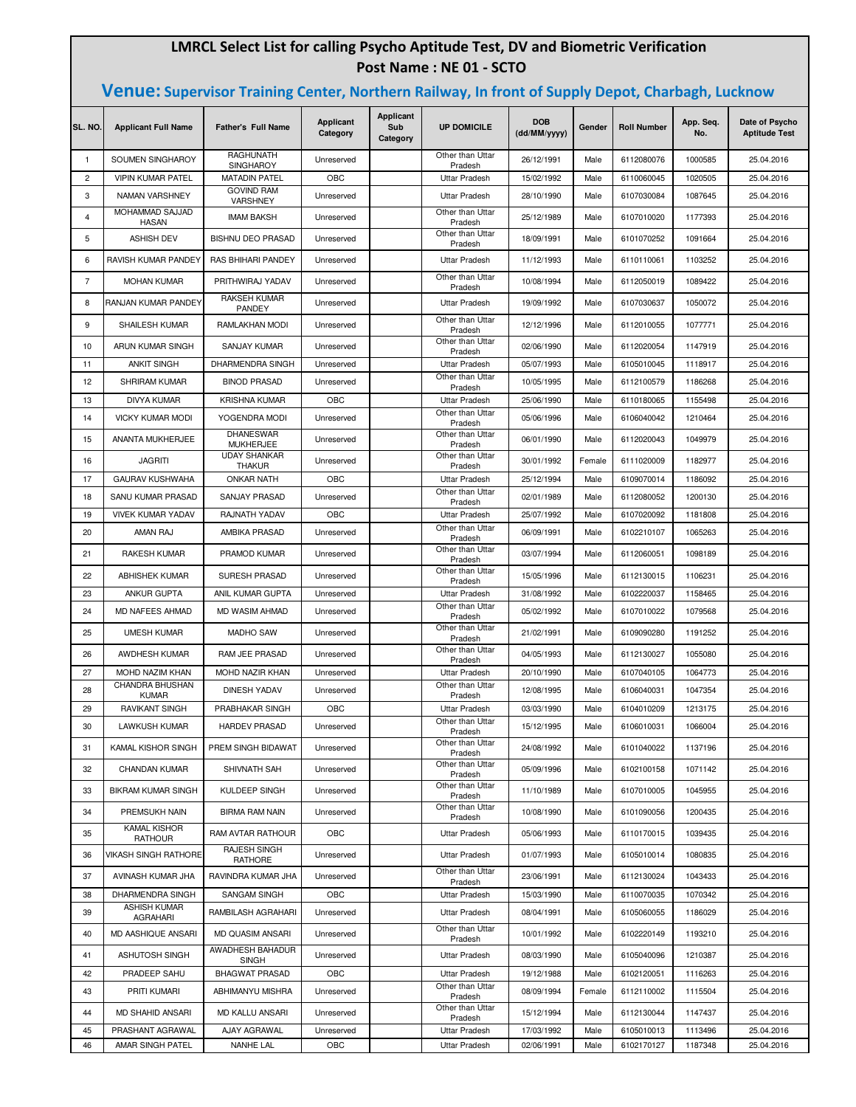## **LMRCL Select List for calling Psycho Aptitude Test, DV and Biometric Verification Post Name : NE 01 - SCTO**

## **Venue: Supervisor Training Center, Northern Railway, In front of Supply Depot, Charbagh, Lucknow**

| SL. NO.        | <b>Applicant Full Name</b>            | <b>Father's Full Name</b>            | Applicant<br>Category | Applicant<br>Sub<br>Category | <b>UP DOMICILE</b>                       | <b>DOB</b><br>(dd/MM/yyyy) | Gender | <b>Roll Number</b> | App. Seq.<br>No. | Date of Psycho<br><b>Aptitude Test</b> |
|----------------|---------------------------------------|--------------------------------------|-----------------------|------------------------------|------------------------------------------|----------------------------|--------|--------------------|------------------|----------------------------------------|
| $\mathbf{1}$   | SOUMEN SINGHAROY                      | RAGHUNATH<br><b>SINGHAROY</b>        | Unreserved            |                              | Other than Uttar<br>Pradesh              | 26/12/1991                 | Male   | 6112080076         | 1000585          | 25.04.2016                             |
| $\overline{2}$ | <b>VIPIN KUMAR PATEL</b>              | <b>MATADIN PATEL</b>                 | OBC                   |                              | Uttar Pradesh                            | 15/02/1992                 | Male   | 6110060045         | 1020505          | 25.04.2016                             |
| 3              | NAMAN VARSHNEY                        | <b>GOVIND RAM</b><br>VARSHNEY        | Unreserved            |                              | <b>Uttar Pradesh</b>                     | 28/10/1990                 | Male   | 6107030084         | 1087645          | 25.04.2016                             |
| $\overline{4}$ | MOHAMMAD SAJJAD<br><b>HASAN</b>       | <b>IMAM BAKSH</b>                    | Unreserved            |                              | Other than Uttar<br>Pradesh              | 25/12/1989                 | Male   | 6107010020         | 1177393          | 25.04.2016                             |
| 5              | <b>ASHISH DEV</b>                     | <b>BISHNU DEO PRASAD</b>             | Unreserved            |                              | Other than Uttar                         | 18/09/1991                 | Male   | 6101070252         | 1091664          | 25.04.2016                             |
| 6              | RAVISH KUMAR PANDEY                   | RAS BHIHARI PANDEY                   | Unreserved            |                              | Pradesh<br><b>Uttar Pradesh</b>          | 11/12/1993                 | Male   | 6110110061         | 1103252          | 25.04.2016                             |
| 7              | <b>MOHAN KUMAR</b>                    | PRITHWIRAJ YADAV                     | Unreserved            |                              | Other than Uttar                         | 10/08/1994                 | Male   | 6112050019         | 1089422          | 25.04.2016                             |
| 8              | RANJAN KUMAR PANDEY                   | RAKSEH KUMAR                         | Unreserved            |                              | Pradesh<br><b>Uttar Pradesh</b>          | 19/09/1992                 | Male   | 6107030637         | 1050072          | 25.04.2016                             |
| 9              | SHAILESH KUMAR                        | PANDEY<br>RAMLAKHAN MODI             | Unreserved            |                              | Other than Uttar                         | 12/12/1996                 | Male   | 6112010055         | 1077771          | 25.04.2016                             |
|                |                                       |                                      |                       |                              | Pradesh<br>Other than Uttar              |                            |        |                    |                  |                                        |
| 10             | ARUN KUMAR SINGH                      | <b>SANJAY KUMAR</b>                  | Unreserved            |                              | Pradesh                                  | 02/06/1990                 | Male   | 6112020054         | 1147919          | 25.04.2016                             |
| 11             | <b>ANKIT SINGH</b>                    | DHARMENDRA SINGH                     | Unreserved            |                              | Uttar Pradesh<br>Other than Uttar        | 05/07/1993                 | Male   | 6105010045         | 1118917          | 25.04.2016                             |
| 12             | <b>SHRIRAM KUMAR</b>                  | <b>BINOD PRASAD</b>                  | Unreserved            |                              | Pradesh                                  | 10/05/1995                 | Male   | 6112100579         | 1186268          | 25.04.2016                             |
| 13             | <b>DIVYA KUMAR</b>                    | <b>KRISHNA KUMAR</b>                 | OBC                   |                              | <b>Uttar Pradesh</b><br>Other than Uttar | 25/06/1990                 | Male   | 6110180065         | 1155498          | 25.04.2016                             |
| 14             | <b>VICKY KUMAR MODI</b>               | YOGENDRA MODI                        | Unreserved            |                              | Pradesh                                  | 05/06/1996                 | Male   | 6106040042         | 1210464          | 25.04.2016                             |
| 15             | ANANTA MUKHERJEE                      | <b>DHANESWAR</b><br><b>MUKHERJEE</b> | Unreserved            |                              | Other than Uttar<br>Pradesh              | 06/01/1990                 | Male   | 6112020043         | 1049979          | 25.04.2016                             |
| 16             | <b>JAGRITI</b>                        | <b>UDAY SHANKAR</b><br><b>THAKUR</b> | Unreserved            |                              | Other than Uttar<br>Pradesh              | 30/01/1992                 | Female | 6111020009         | 1182977          | 25.04.2016                             |
| 17             | <b>GAURAV KUSHWAHA</b>                | <b>ONKAR NATH</b>                    | OBC                   |                              | <b>Uttar Pradesh</b>                     | 25/12/1994                 | Male   | 6109070014         | 1186092          | 25.04.2016                             |
| 18             | SANU KUMAR PRASAD                     | SANJAY PRASAD                        | Unreserved            |                              | Other than Uttar<br>Pradesh              | 02/01/1989                 | Male   | 6112080052         | 1200130          | 25.04.2016                             |
| 19             | <b>VIVEK KUMAR YADAV</b>              | RAJNATH YADAV                        | OBC                   |                              | <b>Uttar Pradesh</b>                     | 25/07/1992                 | Male   | 6107020092         | 1181808          | 25.04.2016                             |
| 20             | AMAN RAJ                              | AMBIKA PRASAD                        | Unreserved            |                              | Other than Uttar<br>Pradesh              | 06/09/1991                 | Male   | 6102210107         | 1065263          | 25.04.2016                             |
| 21             | RAKESH KUMAR                          | PRAMOD KUMAR                         | Unreserved            |                              | Other than Uttar<br>Pradesh              | 03/07/1994                 | Male   | 6112060051         | 1098189          | 25.04.2016                             |
| 22             | <b>ABHISHEK KUMAR</b>                 | SURESH PRASAD                        | Unreserved            |                              | Other than Uttar<br>Pradesh              | 15/05/1996                 | Male   | 6112130015         | 1106231          | 25.04.2016                             |
| 23             | ANKUR GUPTA                           | ANIL KUMAR GUPTA                     | Unreserved            |                              | Uttar Pradesh                            | 31/08/1992                 | Male   | 6102220037         | 1158465          | 25.04.2016                             |
| 24             | MD NAFEES AHMAD                       | MD WASIM AHMAD                       | Unreserved            |                              | Other than Uttar<br>Pradesh              | 05/02/1992                 | Male   | 6107010022         | 1079568          | 25.04.2016                             |
| 25             | <b>UMESH KUMAR</b>                    | <b>MADHO SAW</b>                     | Unreserved            |                              | Other than Uttar<br>Pradesh              | 21/02/1991                 | Male   | 6109090280         | 1191252          | 25.04.2016                             |
| 26             | AWDHESH KUMAR                         | RAM JEE PRASAD                       | Unreserved            |                              | Other than Uttar<br>Pradesh              | 04/05/1993                 | Male   | 6112130027         | 1055080          | 25.04.2016                             |
| 27             | MOHD NAZIM KHAN                       | MOHD NAZIR KHAN                      | Unreserved            |                              | <b>Uttar Pradesh</b>                     | 20/10/1990                 | Male   | 6107040105         | 1064773          | 25.04.2016                             |
| 28             | CHANDRA BHUSHAN                       | <b>DINESH YADAV</b>                  | Unreserved            |                              | Other than Uttar                         | 12/08/1995                 | Male   | 6106040031         | 1047354          | 25.04.2016                             |
| 29             | <b>KUMAR</b><br><b>RAVIKANT SINGH</b> | PRABHAKAR SINGH                      | OBC                   |                              | Pradesh<br><b>Uttar Pradesh</b>          | 03/03/1990                 | Male   | 6104010209         | 1213175          | 25.04.2016                             |
| 30             | <b>LAWKUSH KUMAR</b>                  | <b>HARDEV PRASAD</b>                 | Unreserved            |                              | Other than Uttar                         | 15/12/1995                 | Male   | 6106010031         | 1066004          | 25.04.2016                             |
| 31             | KAMAL KISHOR SINGH                    | PREM SINGH BIDAWAT                   | Unreserved            |                              | Pradesh<br>Other than Uttar              | 24/08/1992                 | Male   | 6101040022         | 1137196          | 25.04.2016                             |
| 32             | CHANDAN KUMAR                         | SHIVNATH SAH                         | Unreserved            |                              | Pradesh<br>Other than Uttar              | 05/09/1996                 | Male   | 6102100158         | 1071142          | 25.04.2016                             |
|                |                                       |                                      |                       |                              | Pradesh<br>Other than Uttar              |                            |        | 6107010005         |                  | 25.04.2016                             |
| 33             | <b>BIKRAM KUMAR SINGH</b>             | KULDEEP SINGH                        | Unreserved            |                              | Pradesh<br>Other than Uttar              | 11/10/1989                 | Male   |                    | 1045955          |                                        |
| 34             | PREMSUKH NAIN<br><b>KAMAL KISHOR</b>  | <b>BIRMA RAM NAIN</b>                | Unreserved            |                              | Pradesh                                  | 10/08/1990                 | Male   | 6101090056         | 1200435          | 25.04.2016                             |
| 35             | <b>RATHOUR</b>                        | RAM AVTAR RATHOUR                    | OBC                   |                              | <b>Uttar Pradesh</b>                     | 05/06/1993                 | Male   | 6110170015         | 1039435          | 25.04.2016                             |
| 36             | <b>VIKASH SINGH RATHORE</b>           | RAJESH SINGH<br>RATHORE              | Unreserved            |                              | Uttar Pradesh                            | 01/07/1993                 | Male   | 6105010014         | 1080835          | 25.04.2016                             |
| 37             | AVINASH KUMAR JHA                     | RAVINDRA KUMAR JHA                   | Unreserved            |                              | Other than Uttar<br>Pradesh              | 23/06/1991                 | Male   | 6112130024         | 1043433          | 25.04.2016                             |
| 38             | DHARMENDRA SINGH                      | <b>SANGAM SINGH</b>                  | OBC                   |                              | <b>Uttar Pradesh</b>                     | 15/03/1990                 | Male   | 6110070035         | 1070342          | 25.04.2016                             |
| 39             | <b>ASHISH KUMAR</b><br>AGRAHARI       | RAMBILASH AGRAHARI                   | Unreserved            |                              | Uttar Pradesh                            | 08/04/1991                 | Male   | 6105060055         | 1186029          | 25.04.2016                             |
| 40             | MD AASHIQUE ANSARI                    | MD QUASIM ANSARI                     | Unreserved            |                              | Other than Uttar<br>Pradesh              | 10/01/1992                 | Male   | 6102220149         | 1193210          | 25.04.2016                             |
| 41             | <b>ASHUTOSH SINGH</b>                 | AWADHESH BAHADUR<br><b>SINGH</b>     | Unreserved            |                              | <b>Uttar Pradesh</b>                     | 08/03/1990                 | Male   | 6105040096         | 1210387          | 25.04.2016                             |
| 42             | PRADEEP SAHU                          | <b>BHAGWAT PRASAD</b>                | OBC                   |                              | Uttar Pradesh                            | 19/12/1988                 | Male   | 6102120051         | 1116263          | 25.04.2016                             |
| 43             | PRITI KUMARI                          | ABHIMANYU MISHRA                     | Unreserved            |                              | Other than Uttar<br>Pradesh              | 08/09/1994                 | Female | 6112110002         | 1115504          | 25.04.2016                             |
| 44             | <b>MD SHAHID ANSARI</b>               | <b>MD KALLU ANSARI</b>               | Unreserved            |                              | Other than Uttar<br>Pradesh              | 15/12/1994                 | Male   | 6112130044         | 1147437          | 25.04.2016                             |
| 45             | PRASHANT AGRAWAL                      | AJAY AGRAWAL                         | Unreserved            |                              | Uttar Pradesh                            | 17/03/1992                 | Male   | 6105010013         | 1113496          | 25.04.2016                             |
| 46             | AMAR SINGH PATEL                      | NANHE LAL                            | OBC                   |                              | Uttar Pradesh                            | 02/06/1991                 | Male   | 6102170127         | 1187348          | 25.04.2016                             |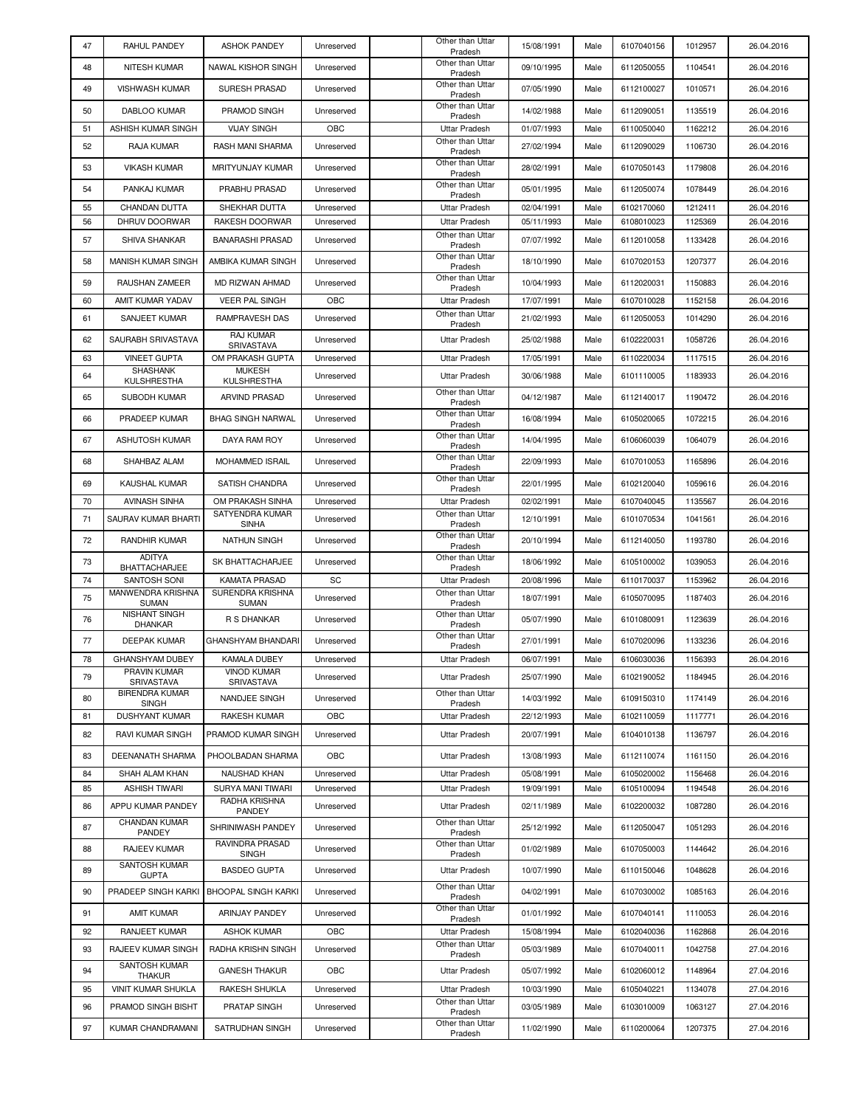| 47       | RAHUL PANDEY                             | <b>ASHOK PANDEY</b>                 | Unreserved               | Other than Uttar<br>Pradesh                  | 15/08/1991               | Male         | 6107040156               | 1012957            | 26.04.2016               |
|----------|------------------------------------------|-------------------------------------|--------------------------|----------------------------------------------|--------------------------|--------------|--------------------------|--------------------|--------------------------|
| 48       | NITESH KUMAR                             | NAWAL KISHOR SINGH                  | Unreserved               | Other than Uttar<br>Pradesh                  | 09/10/1995               | Male         | 6112050055               | 1104541            | 26.04.2016               |
| 49       | <b>VISHWASH KUMAR</b>                    | <b>SURESH PRASAD</b>                | Unreserved               | Other than Uttar<br>Pradesh                  | 07/05/1990               | Male         | 6112100027               | 1010571            | 26.04.2016               |
| 50       | DABLOO KUMAR                             | PRAMOD SINGH                        | Unreserved               | Other than Uttar<br>Pradesh                  | 14/02/1988               | Male         | 6112090051               | 1135519            | 26.04.2016               |
| 51       | ASHISH KUMAR SINGH                       | <b>VIJAY SINGH</b>                  | OBC                      | Uttar Pradesh                                | 01/07/1993               | Male         | 6110050040               | 1162212            | 26.04.2016               |
| 52       | RAJA KUMAR                               | RASH MANI SHARMA                    | Unreserved               | Other than Uttar                             | 27/02/1994               | Male         | 6112090029               | 1106730            | 26.04.2016               |
| 53       | <b>VIKASH KUMAR</b>                      | MRITYUNJAY KUMAR                    | Unreserved               | Pradesh<br>Other than Uttar                  | 28/02/1991               | Male         | 6107050143               | 1179808            | 26.04.2016               |
|          | PANKAJ KUMAR                             | PRABHU PRASAD                       |                          | Pradesh<br>Other than Uttar                  |                          |              |                          |                    |                          |
| 54       |                                          |                                     | Unreserved               | Pradesh                                      | 05/01/1995               | Male         | 6112050074               | 1078449            | 26.04.2016               |
| 55<br>56 | CHANDAN DUTTA<br>DHRUV DOORWAR           | SHEKHAR DUTTA<br>RAKESH DOORWAR     | Unreserved<br>Unreserved | Uttar Pradesh<br>Uttar Pradesh               | 02/04/1991<br>05/11/1993 | Male<br>Male | 6102170060<br>6108010023 | 1212411<br>1125369 | 26.04.2016<br>26.04.2016 |
| 57       | <b>SHIVA SHANKAR</b>                     | <b>BANARASHI PRASAD</b>             | Unreserved               | Other than Uttar                             | 07/07/1992               | Male         | 6112010058               | 1133428            | 26.04.2016               |
|          |                                          |                                     |                          | Pradesh<br>Other than Uttar                  |                          |              |                          |                    |                          |
| 58       | MANISH KUMAR SINGH                       | AMBIKA KUMAR SINGH                  | Unreserved               | Pradesh<br>Other than Uttar                  | 18/10/1990               | Male         | 6107020153               | 1207377            | 26.04.2016               |
| 59       | RAUSHAN ZAMEER                           | MD RIZWAN AHMAD                     | Unreserved               | Pradesh                                      | 10/04/1993               | Male         | 6112020031               | 1150883            | 26.04.2016               |
| 60       | AMIT KUMAR YADAV                         | <b>VEER PAL SINGH</b>               | OBC                      | <b>Uttar Pradesh</b><br>Other than Uttar     | 17/07/1991               | Male         | 6107010028               | 1152158            | 26.04.2016               |
| 61       | SANJEET KUMAR                            | RAMPRAVESH DAS                      | Unreserved               | Pradesh                                      | 21/02/1993               | Male         | 6112050053               | 1014290            | 26.04.2016               |
| 62       | SAURABH SRIVASTAVA                       | <b>RAJ KUMAR</b><br>SRIVASTAVA      | Unreserved               | <b>Uttar Pradesh</b>                         | 25/02/1988               | Male         | 6102220031               | 1058726            | 26.04.2016               |
| 63       | <b>VINEET GUPTA</b>                      | OM PRAKASH GUPTA                    | Unreserved               | Uttar Pradesh                                | 17/05/1991               | Male         | 6110220034               | 1117515            | 26.04.2016               |
| 64       | <b>SHASHANK</b><br>KULSHRESTHA           | <b>MUKESH</b><br>KULSHRESTHA        | Unreserved               | Uttar Pradesh                                | 30/06/1988               | Male         | 6101110005               | 1183933            | 26.04.2016               |
| 65       | <b>SUBODH KUMAR</b>                      | <b>ARVIND PRASAD</b>                | Unreserved               | Other than Uttar<br>Pradesh                  | 04/12/1987               | Male         | 6112140017               | 1190472            | 26.04.2016               |
| 66       | PRADEEP KUMAR                            | <b>BHAG SINGH NARWAL</b>            | Unreserved               | Other than Uttar                             | 16/08/1994               | Male         | 6105020065               | 1072215            | 26.04.2016               |
| 67       | ASHUTOSH KUMAR                           | DAYA RAM ROY                        | Unreserved               | Pradesh<br>Other than Uttar                  | 14/04/1995               | Male         | 6106060039               | 1064079            | 26.04.2016               |
| 68       | SHAHBAZ ALAM                             | MOHAMMED ISRAIL                     | Unreserved               | Pradesh<br>Other than Uttar                  | 22/09/1993               | Male         | 6107010053               | 1165896            | 26.04.2016               |
|          |                                          |                                     |                          | Pradesh<br>Other than Uttar                  |                          |              |                          |                    |                          |
| 69       | KAUSHAL KUMAR                            | SATISH CHANDRA                      | Unreserved               | Pradesh                                      | 22/01/1995               | Male         | 6102120040               | 1059616            | 26.04.2016               |
| 70       | <b>AVINASH SINHA</b>                     | OM PRAKASH SINHA<br>SATYENDRA KUMAR | Unreserved               | <b>Uttar Pradesh</b><br>Other than Uttar     | 02/02/1991               | Male         | 6107040045               | 1135567            | 26.04.2016               |
| 71       | SAURAV KUMAR BHARTI                      | <b>SINHA</b>                        | Unreserved               | Pradesh                                      | 12/10/1991               | Male         | 6101070534               | 1041561            | 26.04.2016               |
| 72       | RANDHIR KUMAR                            | <b>NATHUN SINGH</b>                 | Unreserved               | Other than Uttar<br>Pradesh                  | 20/10/1994               | Male         | 6112140050               | 1193780            | 26.04.2016               |
| 73       | <b>ADITYA</b><br><b>BHATTACHARJEE</b>    | SK BHATTACHARJEE                    | Unreserved               | Other than Uttar<br>Pradesh                  | 18/06/1992               | Male         | 6105100002               | 1039053            | 26.04.2016               |
| 74       | SANTOSH SONI                             | <b>KAMATA PRASAD</b>                | SC                       | Uttar Pradesh                                | 20/08/1996               | Male         | 6110170037               | 1153962            | 26.04.2016               |
| 75       | <b>MANWENDRA KRISHNA</b><br><b>SUMAN</b> | SURENDRA KRISHNA<br><b>SUMAN</b>    | Unreserved               | Other than Uttar<br>Pradesh                  | 18/07/1991               | Male         | 6105070095               | 1187403            | 26.04.2016               |
| 76       | NISHANT SINGH<br><b>DHANKAR</b>          | R S DHANKAR                         | Unreserved               | Other than Uttar<br>Pradesh                  | 05/07/1990               | Male         | 6101080091               | 1123639            | 26.04.2016               |
| 77       | <b>DEEPAK KUMAR</b>                      | GHANSHYAM BHANDARI                  | Unreserved               | Other than Uttar<br>Pradesh                  | 27/01/1991               | Male         | 6107020096               | 1133236            | 26.04.2016               |
| 78       | <b>GHANSHYAM DUBEY</b>                   | KAMALA DUBEY                        | Unreserved               | Uttar Pradesh                                | 06/07/1991               | Male         | 6106030036               | 1156393            | 26.04.2016               |
| 79       | PRAVIN KUMAR                             | <b>VINOD KUMAR</b>                  | Unreserved               | Uttar Pradesh                                | 25/07/1990               | Male         | 6102190052               | 1184945            | 26.04.2016               |
| 80       | SRIVASTAVA<br><b>BIRENDRA KUMAR</b>      | SRIVASTAVA<br>NANDJEE SINGH         | Unreserved               | Other than Uttar                             | 14/03/1992               | Male         | 6109150310               | 1174149            | 26.04.2016               |
| 81       | <b>SINGH</b><br>DUSHYANT KUMAR           | RAKESH KUMAR                        | OBC                      | Pradesh<br>Uttar Pradesh                     | 22/12/1993               | Male         | 6102110059               | 1117771            | 26.04.2016               |
| 82       | <b>RAVI KUMAR SINGH</b>                  | PRAMOD KUMAR SINGH                  | Unreserved               | Uttar Pradesh                                | 20/07/1991               | Male         | 6104010138               | 1136797            | 26.04.2016               |
| 83       | DEENANATH SHARMA                         | PHOOLBADAN SHARMA                   | OBC                      | <b>Uttar Pradesh</b>                         | 13/08/1993               | Male         | 6112110074               | 1161150            | 26.04.2016               |
|          |                                          |                                     |                          |                                              |                          |              |                          |                    |                          |
| 84<br>85 | SHAH ALAM KHAN<br><b>ASHISH TIWARI</b>   | NAUSHAD KHAN<br>SURYA MANI TIWARI   | Unreserved<br>Unreserved | <b>Uttar Pradesh</b><br><b>Uttar Pradesh</b> | 05/08/1991<br>19/09/1991 | Male<br>Male | 6105020002<br>6105100094 | 1156468<br>1194548 | 26.04.2016<br>26.04.2016 |
| 86       | APPU KUMAR PANDEY                        | RADHA KRISHNA                       | Unreserved               | <b>Uttar Pradesh</b>                         | 02/11/1989               | Male         | 6102200032               | 1087280            | 26.04.2016               |
| 87       | <b>CHANDAN KUMAR</b>                     | PANDEY<br>SHRINIWASH PANDEY         | Unreserved               | Other than Uttar                             | 25/12/1992               | Male         | 6112050047               | 1051293            | 26.04.2016               |
| 88       | PANDEY<br>RAJEEV KUMAR                   | RAVINDRA PRASAD                     |                          | Pradesh<br>Other than Uttar                  | 01/02/1989               | Male         |                          |                    |                          |
|          | SANTOSH KUMAR                            | SINGH                               | Unreserved               | Pradesh                                      |                          |              | 6107050003               | 1144642            | 26.04.2016               |
| 89       | <b>GUPTA</b>                             | <b>BASDEO GUPTA</b>                 | Unreserved               | Uttar Pradesh<br>Other than Uttar            | 10/07/1990               | Male         | 6110150046               | 1048628            | 26.04.2016               |
| 90       | PRADEEP SINGH KARKI                      | <b>BHOOPAL SINGH KARKI</b>          | Unreserved               | Pradesh<br>Other than Uttar                  | 04/02/1991               | Male         | 6107030002               | 1085163            | 26.04.2016               |
| 91       | <b>AMIT KUMAR</b>                        | ARINJAY PANDEY                      | Unreserved               | Pradesh                                      | 01/01/1992               | Male         | 6107040141               | 1110053            | 26.04.2016               |
| 92       | RANJEET KUMAR                            | <b>ASHOK KUMAR</b>                  | OBC                      | Uttar Pradesh<br>Other than Uttar            | 15/08/1994               | Male         | 6102040036               | 1162868            | 26.04.2016               |
| 93       | RAJEEV KUMAR SINGH                       | RADHA KRISHN SINGH                  | Unreserved               | Pradesh                                      | 05/03/1989               | Male         | 6107040011               | 1042758            | 27.04.2016               |
| 94       | SANTOSH KUMAR<br><b>THAKUR</b>           | <b>GANESH THAKUR</b>                | OBC                      | Uttar Pradesh                                | 05/07/1992               | Male         | 6102060012               | 1148964            | 27.04.2016               |
| 95       | <b>VINIT KUMAR SHUKLA</b>                | RAKESH SHUKLA                       | Unreserved               | <b>Uttar Pradesh</b>                         | 10/03/1990               | Male         | 6105040221               | 1134078            | 27.04.2016               |
| 96       | PRAMOD SINGH BISHT                       | PRATAP SINGH                        | Unreserved               | Other than Uttar<br>Pradesh                  | 03/05/1989               | Male         | 6103010009               | 1063127            | 27.04.2016               |
| 97       | KUMAR CHANDRAMANI                        | SATRUDHAN SINGH                     | Unreserved               | Other than Uttar<br>Pradesh                  | 11/02/1990               | Male         | 6110200064               | 1207375            | 27.04.2016               |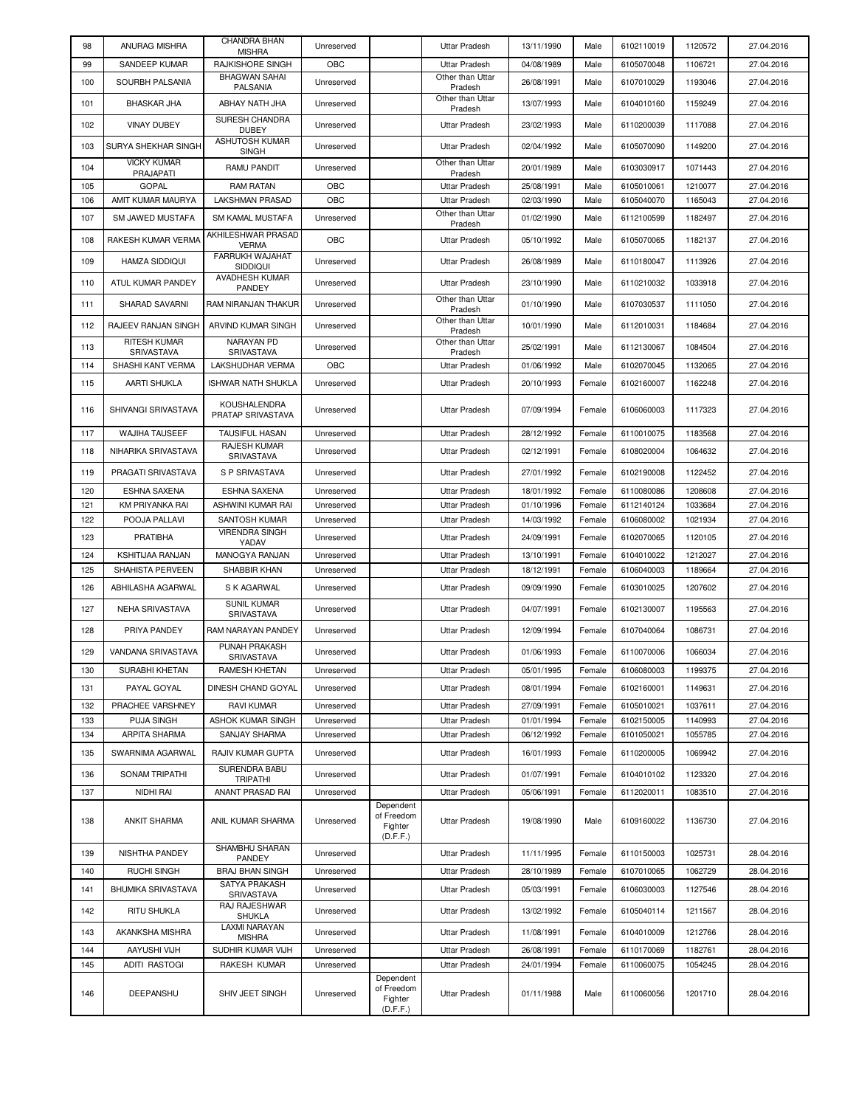| 98  | ANURAG MISHRA              | CHANDRA BHAN<br><b>MISHRA</b>          | Unreserved |                                                | <b>Uttar Pradesh</b>                     | 13/11/1990 | Male   | 6102110019 | 1120572 | 27.04.2016 |
|-----|----------------------------|----------------------------------------|------------|------------------------------------------------|------------------------------------------|------------|--------|------------|---------|------------|
| 99  | SANDEEP KUMAR              | RAJKISHORE SINGH                       | OBC        |                                                | <b>Uttar Pradesh</b>                     | 04/08/1989 | Male   | 6105070048 | 1106721 | 27.04.2016 |
| 100 | SOURBH PALSANIA            | <b>BHAGWAN SAHAI</b><br>PALSANIA       | Unreserved |                                                | Other than Uttar<br>Pradesh              | 26/08/1991 | Male   | 6107010029 | 1193046 | 27.04.2016 |
| 101 | <b>BHASKAR JHA</b>         | ABHAY NATH JHA                         | Unreserved |                                                | Other than Uttar                         | 13/07/1993 | Male   | 6104010160 | 1159249 | 27.04.2016 |
| 102 | <b>VINAY DUBEY</b>         | SURESH CHANDRA                         | Unreserved |                                                | Pradesh<br>Uttar Pradesh                 | 23/02/1993 | Male   | 6110200039 | 1117088 | 27.04.2016 |
| 103 | SURYA SHEKHAR SINGH        | <b>DUBEY</b><br>ASHUTOSH KUMAR         | Unreserved |                                                | Uttar Pradesh                            | 02/04/1992 | Male   | 6105070090 | 1149200 | 27.04.2016 |
|     | <b>VICKY KUMAR</b>         | <b>SINGH</b>                           |            |                                                | Other than Uttar                         |            |        |            |         |            |
| 104 | PRAJAPATI                  | RAMU PANDIT                            | Unreserved |                                                | Pradesh                                  | 20/01/1989 | Male   | 6103030917 | 1071443 | 27.04.2016 |
| 105 | <b>GOPAL</b>               | <b>RAM RATAN</b>                       | OBC        |                                                | <b>Uttar Pradesh</b>                     | 25/08/1991 | Male   | 6105010061 | 1210077 | 27.04.2016 |
| 106 | AMIT KUMAR MAURYA          | <b>LAKSHMAN PRASAD</b>                 | OBC        |                                                | <b>Uttar Pradesh</b><br>Other than Uttar | 02/03/1990 | Male   | 6105040070 | 1165043 | 27.04.2016 |
| 107 | SM JAWED MUSTAFA           | SM KAMAL MUSTAFA<br>AKHILESHWAR PRASAD | Unreserved |                                                | Pradesh                                  | 01/02/1990 | Male   | 6112100599 | 1182497 | 27.04.2016 |
| 108 | RAKESH KUMAR VERMA         | <b>VERMA</b><br>FARRUKH WAJAHAT        | OBC        |                                                | <b>Uttar Pradesh</b>                     | 05/10/1992 | Male   | 6105070065 | 1182137 | 27.04.2016 |
| 109 | <b>HAMZA SIDDIQUI</b>      | <b>SIDDIQUI</b>                        | Unreserved |                                                | <b>Uttar Pradesh</b>                     | 26/08/1989 | Male   | 6110180047 | 1113926 | 27.04.2016 |
| 110 | ATUL KUMAR PANDEY          | AVADHESH KUMAR<br>PANDEY               | Unreserved |                                                | <b>Uttar Pradesh</b>                     | 23/10/1990 | Male   | 6110210032 | 1033918 | 27.04.2016 |
| 111 | SHARAD SAVARNI             | RAM NIRANJAN THAKUR                    | Unreserved |                                                | Other than Uttar<br>Pradesh              | 01/10/1990 | Male   | 6107030537 | 1111050 | 27.04.2016 |
| 112 | RAJEEV RANJAN SINGH        | ARVIND KUMAR SINGH                     | Unreserved |                                                | Other than Uttar<br>Pradesh              | 10/01/1990 | Male   | 6112010031 | 1184684 | 27.04.2016 |
| 113 | RITESH KUMAR<br>SRIVASTAVA | NARAYAN PD<br>SRIVASTAVA               | Unreserved |                                                | Other than Uttar<br>Pradesh              | 25/02/1991 | Male   | 6112130067 | 1084504 | 27.04.2016 |
| 114 | SHASHI KANT VERMA          | <b>LAKSHUDHAR VERMA</b>                | OBC        |                                                | <b>Uttar Pradesh</b>                     | 01/06/1992 | Male   | 6102070045 | 1132065 | 27.04.2016 |
| 115 | AARTI SHUKLA               | <b>ISHWAR NATH SHUKLA</b>              | Unreserved |                                                | Uttar Pradesh                            | 20/10/1993 | Female | 6102160007 | 1162248 | 27.04.2016 |
| 116 | SHIVANGI SRIVASTAVA        | KOUSHALENDRA<br>PRATAP SRIVASTAVA      | Unreserved |                                                | Uttar Pradesh                            | 07/09/1994 | Female | 6106060003 | 1117323 | 27.04.2016 |
| 117 | <b>WAJIHA TAUSEEF</b>      | TAUSIFUL HASAN                         | Unreserved |                                                | <b>Uttar Pradesh</b>                     | 28/12/1992 | Female | 6110010075 | 1183568 | 27.04.2016 |
| 118 | NIHARIKA SRIVASTAVA        | RAJESH KUMAR<br>SRIVASTAVA             | Unreserved |                                                | Uttar Pradesh                            | 02/12/1991 | Female | 6108020004 | 1064632 | 27.04.2016 |
| 119 | PRAGATI SRIVASTAVA         | S P SRIVASTAVA                         | Unreserved |                                                | <b>Uttar Pradesh</b>                     | 27/01/1992 | Female | 6102190008 | 1122452 | 27.04.2016 |
| 120 | <b>ESHNA SAXENA</b>        | ESHNA SAXENA                           | Unreserved |                                                | <b>Uttar Pradesh</b>                     | 18/01/1992 | Female | 6110080086 | 1208608 | 27.04.2016 |
| 121 | KM PRIYANKA RAI            | ASHWINI KUMAR RAI                      | Unreserved |                                                | <b>Uttar Pradesh</b>                     | 01/10/1996 | Female | 6112140124 | 1033684 | 27.04.2016 |
| 122 | POOJA PALLAVI              | SANTOSH KUMAR                          | Unreserved |                                                | <b>Uttar Pradesh</b>                     | 14/03/1992 | Female | 6106080002 | 1021934 | 27.04.2016 |
| 123 | <b>PRATIBHA</b>            | <b>VIRENDRA SINGH</b><br>YADAV         | Unreserved |                                                | <b>Uttar Pradesh</b>                     | 24/09/1991 | Female | 6102070065 | 1120105 | 27.04.2016 |
| 124 | KSHITIJAA RANJAN           | MANOGYA RANJAN                         | Unreserved |                                                | <b>Uttar Pradesh</b>                     | 13/10/1991 | Female | 6104010022 | 1212027 | 27.04.2016 |
| 125 | SHAHISTA PERVEEN           | SHABBIR KHAN                           | Unreserved |                                                | <b>Uttar Pradesh</b>                     | 18/12/1991 | Female | 6106040003 | 1189664 | 27.04.2016 |
| 126 | ABHILASHA AGARWAL          | S K AGARWAL                            | Unreserved |                                                | <b>Uttar Pradesh</b>                     | 09/09/1990 | Female | 6103010025 | 1207602 | 27.04.2016 |
| 127 | NEHA SRIVASTAVA            | <b>SUNIL KUMAR</b><br>SRIVASTAVA       | Unreserved |                                                | <b>Uttar Pradesh</b>                     | 04/07/1991 | Female | 6102130007 | 1195563 | 27.04.2016 |
| 128 | PRIYA PANDEY               | RAM NARAYAN PANDEY                     | Unreserved |                                                | <b>Uttar Pradesh</b>                     | 12/09/1994 | Female | 6107040064 | 1086731 | 27.04.2016 |
| 129 | VANDANA SRIVASTAVA         | <b>PUNAH PRAKASH</b><br>SRIVASTAVA     | Unreserved |                                                | <b>Uttar Pradesh</b>                     | 01/06/1993 | Female | 6110070006 | 1066034 | 27.04.2016 |
| 130 | SURABHI KHETAN             | RAMESH KHETAN                          | Unreserved |                                                | <b>Uttar Pradesh</b>                     | 05/01/1995 | Female | 6106080003 | 1199375 | 27.04.2016 |
| 131 | PAYAL GOYAL                | DINESH CHAND GOYAL                     | Unreserved |                                                | <b>Uttar Pradesh</b>                     | 08/01/1994 | Female | 6102160001 | 1149631 | 27.04.2016 |
| 132 | PRACHEE VARSHNEY           | RAVI KUMAR                             | Unreserved |                                                | <b>Uttar Pradesh</b>                     | 27/09/1991 | Female | 6105010021 | 1037611 | 27.04.2016 |
| 133 | <b>PUJA SINGH</b>          | ASHOK KUMAR SINGH                      | Unreserved |                                                | <b>Uttar Pradesh</b>                     | 01/01/1994 | Female | 6102150005 | 1140993 | 27.04.2016 |
| 134 | ARPITA SHARMA              | <b>SANJAY SHARMA</b>                   | Unreserved |                                                | <b>Uttar Pradesh</b>                     | 06/12/1992 | Female | 6101050021 | 1055785 | 27.04.2016 |
| 135 | SWARNIMA AGARWAL           | RAJIV KUMAR GUPTA                      | Unreserved |                                                | Uttar Pradesh                            | 16/01/1993 | Female | 6110200005 | 1069942 | 27.04.2016 |
| 136 | SONAM TRIPATHI             | SURENDRA BABU<br><b>TRIPATHI</b>       | Unreserved |                                                | Uttar Pradesh                            | 01/07/1991 | Female | 6104010102 | 1123320 | 27.04.2016 |
| 137 | NIDHI RAI                  | ANANT PRASAD RAI                       | Unreserved |                                                | Uttar Pradesh                            | 05/06/1991 | Female | 6112020011 | 1083510 | 27.04.2016 |
| 138 | <b>ANKIT SHARMA</b>        | ANIL KUMAR SHARMA                      | Unreserved | Dependent<br>of Freedom<br>Fighter<br>(D.F.F.) | Uttar Pradesh                            | 19/08/1990 | Male   | 6109160022 | 1136730 | 27.04.2016 |
| 139 | NISHTHA PANDEY             | SHAMBHU SHARAN<br>PANDEY               | Unreserved |                                                | Uttar Pradesh                            | 11/11/1995 | Female | 6110150003 | 1025731 | 28.04.2016 |
| 140 | <b>RUCHI SINGH</b>         | <b>BRAJ BHAN SINGH</b>                 | Unreserved |                                                | <b>Uttar Pradesh</b>                     | 28/10/1989 | Female | 6107010065 | 1062729 | 28.04.2016 |
| 141 | <b>BHUMIKA SRIVASTAVA</b>  | SATYA PRAKASH<br>SRIVASTAVA            | Unreserved |                                                | <b>Uttar Pradesh</b>                     | 05/03/1991 | Female | 6106030003 | 1127546 | 28.04.2016 |
| 142 | <b>RITU SHUKLA</b>         | RAJ RAJESHWAR<br><b>SHUKLA</b>         | Unreserved |                                                | <b>Uttar Pradesh</b>                     | 13/02/1992 | Female | 6105040114 | 1211567 | 28.04.2016 |
| 143 | AKANKSHA MISHRA            | <b>LAXMI NARAYAN</b><br><b>MISHRA</b>  | Unreserved |                                                | <b>Uttar Pradesh</b>                     | 11/08/1991 | Female | 6104010009 | 1212766 | 28.04.2016 |
| 144 | AAYUSHI VIJH               | SUDHIR KUMAR VIJH                      | Unreserved |                                                | <b>Uttar Pradesh</b>                     | 26/08/1991 | Female | 6110170069 | 1182761 | 28.04.2016 |
| 145 | ADITI RASTOGI              | RAKESH KUMAR                           | Unreserved |                                                | <b>Uttar Pradesh</b>                     | 24/01/1994 | Female | 6110060075 | 1054245 | 28.04.2016 |
| 146 | DEEPANSHU                  | SHIV JEET SINGH                        | Unreserved | Dependent<br>of Freedom<br>Fighter<br>(D.F.F.) | <b>Uttar Pradesh</b>                     | 01/11/1988 | Male   | 6110060056 | 1201710 | 28.04.2016 |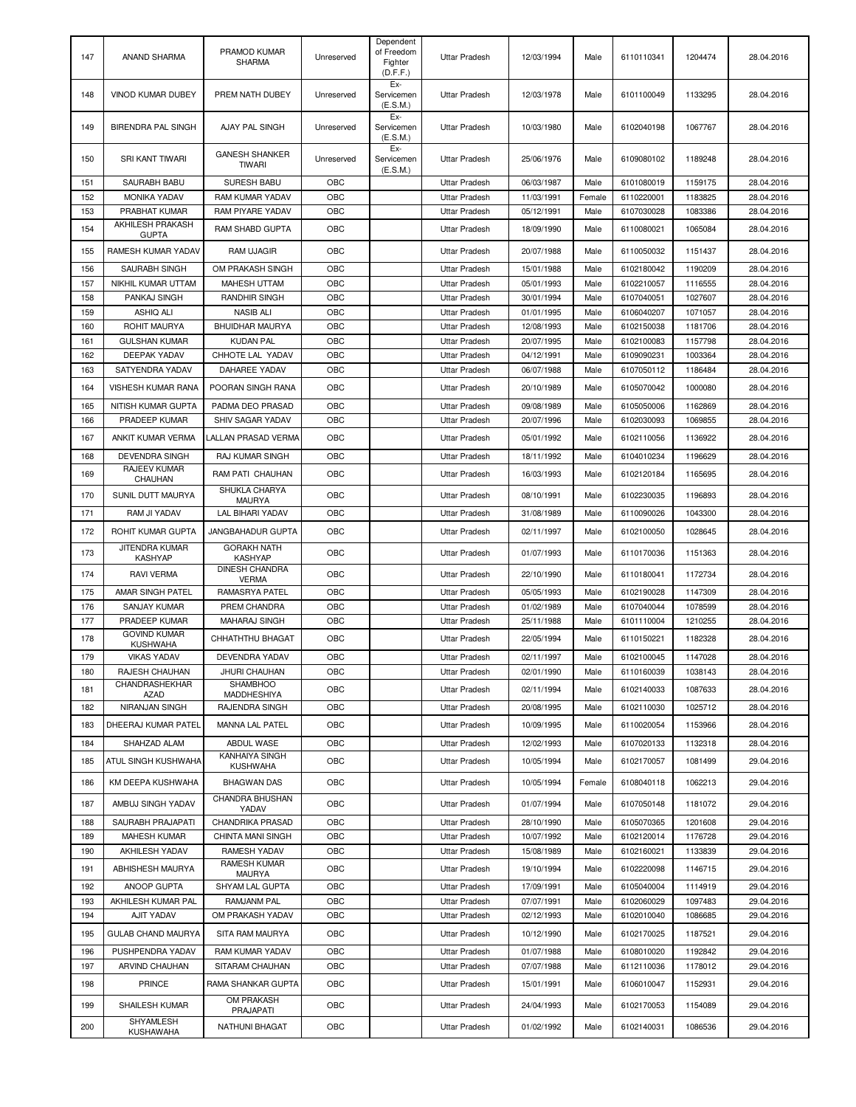| 147        | <b>ANAND SHARMA</b>                      | PRAMOD KUMAR<br><b>SHARMA</b>          | Unreserved | Dependent<br>of Freedom<br>Fighter<br>(D.F.F.) | <b>Uttar Pradesh</b>                  | 12/03/1994               | Male           | 6110110341               | 1204474            | 28.04.2016               |
|------------|------------------------------------------|----------------------------------------|------------|------------------------------------------------|---------------------------------------|--------------------------|----------------|--------------------------|--------------------|--------------------------|
| 148        | VINOD KUMAR DUBEY                        | PREM NATH DUBEY                        | Unreserved | Ex-<br>Servicemen<br>(E.S.M.)                  | Uttar Pradesh                         | 12/03/1978               | Male           | 6101100049               | 1133295            | 28.04.2016               |
| 149        | <b>BIRENDRA PAL SINGH</b>                | AJAY PAL SINGH                         | Unreserved | Ex-<br>Servicemen<br>(E.S.M.)                  | <b>Uttar Pradesh</b>                  | 10/03/1980               | Male           | 6102040198               | 1067767            | 28.04.2016               |
| 150        | SRI KANT TIWARI                          | <b>GANESH SHANKER</b><br><b>TIWARI</b> | Unreserved | Ex-<br>Servicemen<br>(E.S.M.)                  | <b>Uttar Pradesh</b>                  | 25/06/1976               | Male           | 6109080102               | 1189248            | 28.04.2016               |
| 151        | SAURABH BABU                             | <b>SURESH BABU</b>                     | OBC        |                                                | <b>Uttar Pradesh</b>                  | 06/03/1987               | Male           | 6101080019               | 1159175            | 28.04.2016               |
| 152        | <b>MONIKA YADAV</b>                      | RAM KUMAR YADAV                        | OBC        |                                                | Uttar Pradesh                         | 11/03/1991               | Female         | 6110220001               | 1183825            | 28.04.2016               |
| 153        | PRABHAT KUMAR<br>AKHILESH PRAKASH        | RAM PIYARE YADAV                       | OBC        |                                                | <b>Uttar Pradesh</b>                  | 05/12/1991               | Male           | 6107030028               | 1083386            | 28.04.2016               |
| 154        | <b>GUPTA</b>                             | <b>RAM SHABD GUPTA</b>                 | OBC        |                                                | <b>Uttar Pradesh</b>                  | 18/09/1990               | Male           | 6110080021               | 1065084            | 28.04.2016               |
| 155        | RAMESH KUMAR YADAV                       | <b>RAM UJAGIR</b>                      | OBC        |                                                | <b>Uttar Pradesh</b>                  | 20/07/1988               | Male           | 6110050032               | 1151437            | 28.04.2016               |
| 156        | <b>SAURABH SINGH</b>                     | OM PRAKASH SINGH                       | OBC        |                                                | Uttar Pradesh                         | 15/01/1988               | Male           | 6102180042               | 1190209            | 28.04.2016               |
| 157        | NIKHIL KUMAR UTTAM                       | MAHESH UTTAM                           | OBC        |                                                | <b>Uttar Pradesh</b>                  | 05/01/1993               | Male           | 6102210057               | 1116555            | 28.04.2016               |
| 158        | PANKAJ SINGH                             | RANDHIR SINGH                          | OBC        |                                                | <b>Uttar Pradesh</b>                  | 30/01/1994               | Male           | 6107040051               | 1027607            | 28.04.2016               |
| 159        | <b>ASHIQ ALI</b>                         | <b>NASIB ALI</b>                       | OBC        |                                                | <b>Uttar Pradesh</b>                  | 01/01/1995               | Male           | 6106040207               | 1071057            | 28.04.2016               |
| 160        | ROHIT MAURYA                             | BHUIDHAR MAURYA                        | OBC        |                                                | Uttar Pradesh                         | 12/08/1993               | Male           | 6102150038               | 1181706            | 28.04.2016               |
| 161        | <b>GULSHAN KUMAR</b>                     | <b>KUDAN PAL</b>                       | OBC<br>OBC |                                                | <b>Uttar Pradesh</b>                  | 20/07/1995               | Male           | 6102100083               | 1157798            | 28.04.2016               |
| 162        | DEEPAK YADAV<br>SATYENDRA YADAV          | CHHOTE LAL YADAV                       |            |                                                | <b>Uttar Pradesh</b>                  | 04/12/1991               | Male           | 6109090231               | 1003364            | 28.04.2016               |
| 163        |                                          | DAHAREE YADAV                          | OBC        |                                                | <b>Uttar Pradesh</b>                  | 06/07/1988               | Male           | 6107050112               | 1186484            | 28.04.2016               |
| 164        | <b>VISHESH KUMAR RANA</b>                | POORAN SINGH RANA                      | OBC        |                                                | <b>Uttar Pradesh</b>                  | 20/10/1989               | Male           | 6105070042               | 1000080            | 28.04.2016               |
| 165        | NITISH KUMAR GUPTA                       | PADMA DEO PRASAD                       | OBC        |                                                | <b>Uttar Pradesh</b>                  | 09/08/1989               | Male           | 6105050006               | 1162869            | 28.04.2016               |
| 166        | PRADEEP KUMAR                            | SHIV SAGAR YADAV                       | OBC        |                                                | <b>Uttar Pradesh</b>                  | 20/07/1996               | Male           | 6102030093               | 1069855            | 28.04.2016               |
| 167        | ANKIT KUMAR VERMA                        | LALLAN PRASAD VERMA                    | OBC        |                                                | Uttar Pradesh                         | 05/01/1992               | Male           | 6102110056               | 1136922            | 28.04.2016               |
| 168        | <b>DEVENDRA SINGH</b>                    | RAJ KUMAR SINGH                        | OBC        |                                                | <b>Uttar Pradesh</b>                  | 18/11/1992               | Male           | 6104010234               | 1196629            | 28.04.2016               |
| 169        | RAJEEV KUMAR<br>CHAUHAN                  | RAM PATI CHAUHAN                       | OBC        |                                                | Uttar Pradesh                         | 16/03/1993               | Male           | 6102120184               | 1165695            | 28.04.2016               |
| 170        | SUNIL DUTT MAURYA                        | SHUKLA CHARYA<br>MAURYA                | OBC        |                                                | Uttar Pradesh                         | 08/10/1991               | Male           | 6102230035               | 1196893            | 28.04.2016               |
| 171        | RAM JI YADAV                             | LAL BIHARI YADAV                       | OBC        |                                                | <b>Uttar Pradesh</b>                  | 31/08/1989               | Male           | 6110090026               | 1043300            | 28.04.2016               |
| 172        | ROHIT KUMAR GUPTA                        | JANGBAHADUR GUPTA                      | OBC        |                                                | <b>Uttar Pradesh</b>                  | 02/11/1997               | Male           | 6102100050               | 1028645            | 28.04.2016               |
| 173        | JITENDRA KUMAR<br><b>KASHYAP</b>         | <b>GORAKH NATH</b><br><b>KASHYAP</b>   | OBC        |                                                | <b>Uttar Pradesh</b>                  | 01/07/1993               | Male           | 6110170036               | 1151363            | 28.04.2016               |
| 174        | <b>RAVI VERMA</b>                        | <b>DINESH CHANDRA</b><br><b>VERMA</b>  | OBC        |                                                | <b>Uttar Pradesh</b>                  | 22/10/1990               | Male           | 6110180041               | 1172734            | 28.04.2016               |
| 175        | AMAR SINGH PATEL                         | RAMASRYA PATEL                         | OBC        |                                                | <b>Uttar Pradesh</b>                  | 05/05/1993               | Male           | 6102190028               | 1147309            | 28.04.2016               |
| 176        | SANJAY KUMAR                             | PREM CHANDRA                           | OBC        |                                                | <b>Uttar Pradesh</b>                  | 01/02/1989               | Male           | 6107040044               | 1078599            | 28.04.2016               |
| 177        | PRADEEP KUMAR                            | MAHARAJ SINGH                          | OBC        |                                                | Uttar Pradesh                         | 25/11/1988               | Male           | 6101110004               | 1210255            | 28.04.2016               |
| 178        | <b>GOVIND KUMAR</b><br>KUSHWAHA          | CHHATHTHU BHAGAT                       | OBC        |                                                | <b>Uttar Pradesh</b>                  | 22/05/1994               | Male           | 6110150221               | 1182328            | 28.04.2016               |
| 179        | <b>VIKAS YADAV</b>                       | DEVENDRA YADAV                         | OBC        |                                                | <b>Uttar Pradesh</b>                  | 02/11/1997               | Male           | 6102100045               | 1147028            | 28.04.2016               |
| 180        | RAJESH CHAUHAN                           | <b>JHURI CHAUHAN</b>                   | OBC        |                                                | Uttar Pradesh                         | 02/01/1990               | Male           | 6110160039               | 1038143            | 28.04.2016               |
| 181        | CHANDRASHEKHAR<br>AZAD                   | <b>SHAMBHOO</b><br>MADDHESHIYA         | OBC        |                                                | <b>Uttar Pradesh</b>                  | 02/11/1994               | Male           | 6102140033               | 1087633            | 28.04.2016               |
| 182        | NIRANJAN SINGH                           | RAJENDRA SINGH                         | OBC        |                                                | <b>Uttar Pradesh</b>                  | 20/08/1995               | Male           | 6102110030               | 1025712            | 28.04.2016               |
| 183        | DHEERAJ KUMAR PATEL                      | MANNA LAL PATEL                        | OBC        |                                                | Uttar Pradesh                         | 10/09/1995               | Male           | 6110020054               | 1153966            | 28.04.2016               |
| 184        | SHAHZAD ALAM                             | ABDUL WASE<br>KANHAIYA SINGH           | OBC        |                                                | <b>Uttar Pradesh</b>                  | 12/02/1993               | Male           | 6107020133               | 1132318            | 28.04.2016               |
| 185<br>186 | ATUL SINGH KUSHWAHA<br>KM DEEPA KUSHWAHA | KUSHWAHA<br><b>BHAGWAN DAS</b>         | OBC<br>OBC |                                                | <b>Uttar Pradesh</b><br>Uttar Pradesh | 10/05/1994<br>10/05/1994 | Male<br>Female | 6102170057<br>6108040118 | 1081499<br>1062213 | 29.04.2016<br>29.04.2016 |
| 187        | AMBUJ SINGH YADAV                        | CHANDRA BHUSHAN                        | OBC        |                                                | <b>Uttar Pradesh</b>                  | 01/07/1994               | Male           | 6107050148               | 1181072            | 29.04.2016               |
| 188        | SAURABH PRAJAPATI                        | YADAV<br>CHANDRIKA PRASAD              | OBC        |                                                | <b>Uttar Pradesh</b>                  | 28/10/1990               | Male           | 6105070365               | 1201608            | 29.04.2016               |
| 189        | <b>MAHESH KUMAR</b>                      | CHINTA MANI SINGH                      | OBC        |                                                | <b>Uttar Pradesh</b>                  | 10/07/1992               | Male           | 6102120014               | 1176728            | 29.04.2016               |
| 190        | <b>AKHILESH YADAV</b>                    | RAMESH YADAV                           | OBC        |                                                | Uttar Pradesh                         | 15/08/1989               | Male           | 6102160021               | 1133839            | 29.04.2016               |
| 191        | ABHISHESH MAURYA                         | RAMESH KUMAR                           | OBC        |                                                | Uttar Pradesh                         | 19/10/1994               | Male           | 6102220098               | 1146715            | 29.04.2016               |
| 192        | ANOOP GUPTA                              | MAURYA<br>SHYAM LAL GUPTA              | OBC        |                                                | <b>Uttar Pradesh</b>                  | 17/09/1991               | Male           | 6105040004               | 1114919            | 29.04.2016               |
| 193        | AKHILESH KUMAR PAL                       | RAMJANM PAL                            | OBC        |                                                | Uttar Pradesh                         | 07/07/1991               | Male           | 6102060029               | 1097483            | 29.04.2016               |
| 194        | AJIT YADAV                               | OM PRAKASH YADAV                       | OBC        |                                                | Uttar Pradesh                         | 02/12/1993               | Male           | 6102010040               | 1086685            | 29.04.2016               |
| 195        | GULAB CHAND MAURYA                       | SITA RAM MAURYA                        | OBC        |                                                | Uttar Pradesh                         | 10/12/1990               | Male           | 6102170025               | 1187521            | 29.04.2016               |
| 196        | PUSHPENDRA YADAV                         | RAM KUMAR YADAV                        | OBC        |                                                | <b>Uttar Pradesh</b>                  | 01/07/1988               | Male           | 6108010020               | 1192842            | 29.04.2016               |
| 197        | ARVIND CHAUHAN                           | SITARAM CHAUHAN                        | OBC        |                                                | <b>Uttar Pradesh</b>                  | 07/07/1988               | Male           | 6112110036               | 1178012            | 29.04.2016               |
| 198        | PRINCE                                   | RAMA SHANKAR GUPTA                     | OBC        |                                                | Uttar Pradesh                         | 15/01/1991               | Male           | 6106010047               | 1152931            | 29.04.2016               |
| 199        | SHAILESH KUMAR                           | OM PRAKASH                             | OBC        |                                                | <b>Uttar Pradesh</b>                  | 24/04/1993               | Male           | 6102170053               | 1154089            | 29.04.2016               |
| 200        | SHYAMLESH                                | PRAJAPATI<br>NATHUNI BHAGAT            | OBC        |                                                | Uttar Pradesh                         | 01/02/1992               | Male           | 6102140031               | 1086536            | 29.04.2016               |
|            | <b>KUSHAWAHA</b>                         |                                        |            |                                                |                                       |                          |                |                          |                    |                          |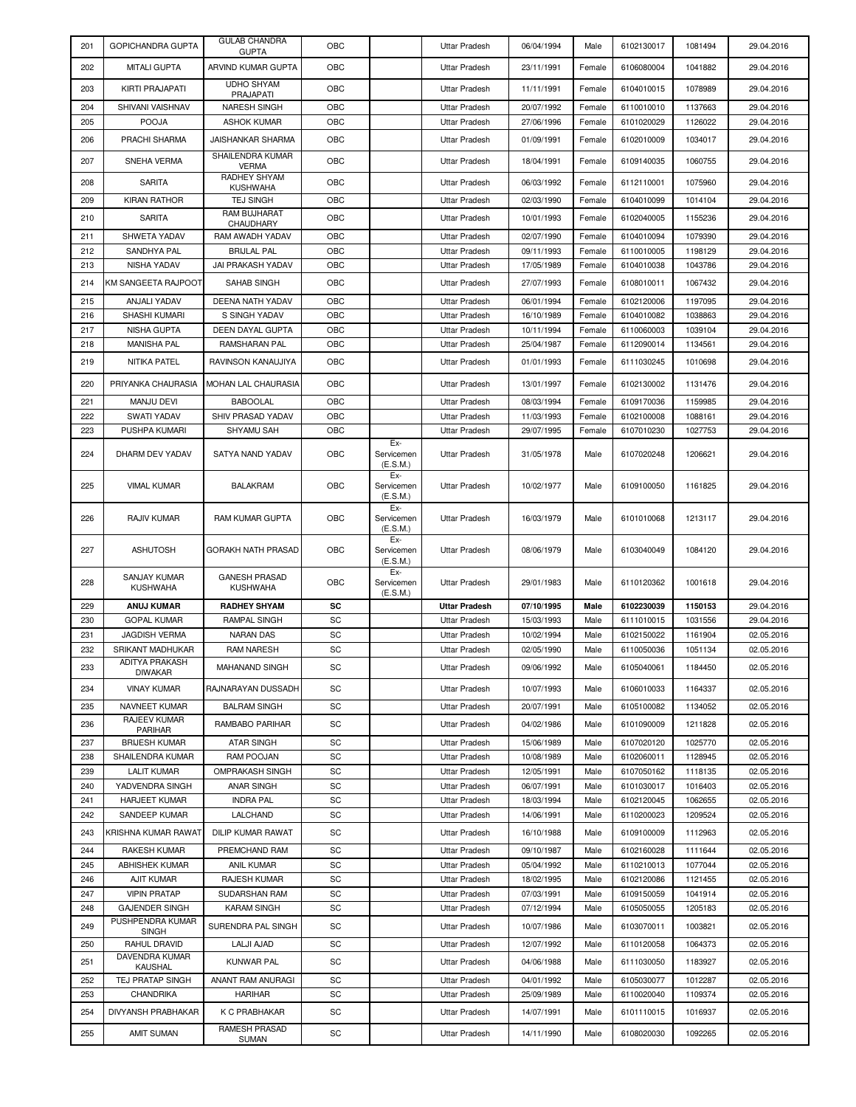| 201        | GOPICHANDRA GUPTA                         | <b>GULAB CHANDRA</b><br><b>GUPTA</b>     | OBC      |                               | Uttar Pradesh                                | 06/04/1994               | Male         | 6102130017               | 1081494            | 29.04.2016               |
|------------|-------------------------------------------|------------------------------------------|----------|-------------------------------|----------------------------------------------|--------------------------|--------------|--------------------------|--------------------|--------------------------|
| 202        | MITALI GUPTA                              | ARVIND KUMAR GUPTA                       | OBC      |                               | <b>Uttar Pradesh</b>                         | 23/11/1991               | Female       | 6106080004               | 1041882            | 29.04.2016               |
| 203        | KIRTI PRAJAPATI                           | <b>UDHO SHYAM</b><br>PRAJAPATI           | OBC      |                               | <b>Uttar Pradesh</b>                         | 11/11/1991               | Female       | 6104010015               | 1078989            | 29.04.2016               |
| 204        | SHIVANI VAISHNAV                          | <b>NARESH SINGH</b>                      | OBC      |                               | <b>Uttar Pradesh</b>                         | 20/07/1992               | Female       | 6110010010               | 1137663            | 29.04.2016               |
| 205        | <b>POOJA</b>                              | <b>ASHOK KUMAR</b>                       | OBC      |                               | Uttar Pradesh                                | 27/06/1996               | Female       | 6101020029               | 1126022            | 29.04.2016               |
| 206        | PRACHI SHARMA                             | <b>JAISHANKAR SHARMA</b>                 | OBC      |                               | Uttar Pradesh                                | 01/09/1991               | Female       | 6102010009               | 1034017            | 29.04.2016               |
| 207        | SNEHA VERMA                               | SHAILENDRA KUMAR<br><b>VERMA</b>         | OBC      |                               | Uttar Pradesh                                | 18/04/1991               | Female       | 6109140035               | 1060755            | 29.04.2016               |
| 208        | <b>SARITA</b>                             | RADHEY SHYAM<br><b>KUSHWAHA</b>          | OBC      |                               | Uttar Pradesh                                | 06/03/1992               | Female       | 6112110001               | 1075960            | 29.04.2016               |
| 209        | <b>KIRAN RATHOR</b>                       | <b>TEJ SINGH</b>                         | OBC      |                               | <b>Uttar Pradesh</b>                         | 02/03/1990               | Female       | 6104010099               | 1014104            | 29.04.2016               |
| 210        | <b>SARITA</b>                             | RAM BUJHARAT                             | OBC      |                               | Uttar Pradesh                                | 10/01/1993               | Female       | 6102040005               | 1155236            | 29.04.2016               |
| 211        | SHWETA YADAV                              | CHAUDHARY<br>RAM AWADH YADAV             | OBC      |                               | Uttar Pradesh                                | 02/07/1990               | Female       | 6104010094               | 1079390            | 29.04.2016               |
| 212        | SANDHYA PAL                               | <b>BRIJLAL PAL</b>                       | OBC      |                               | <b>Uttar Pradesh</b>                         | 09/11/1993               | Female       | 6110010005               | 1198129            | 29.04.2016               |
| 213        | NISHA YADAV                               | JAI PRAKASH YADAV                        | OBC      |                               | <b>Uttar Pradesh</b>                         | 17/05/1989               | Female       | 6104010038               | 1043786            | 29.04.2016               |
| 214        | KM SANGEETA RAJPOOT                       | SAHAB SINGH                              | OBC      |                               | Uttar Pradesh                                | 27/07/1993               | Female       | 6108010011               | 1067432            | 29.04.2016               |
| 215        | ANJALI YADAV                              | DEENA NATH YADAV                         | OBC      |                               | <b>Uttar Pradesh</b>                         | 06/01/1994               | Female       | 6102120006               | 1197095            | 29.04.2016               |
| 216        | <b>SHASHI KUMARI</b>                      | S SINGH YADAV                            | OBC      |                               | <b>Uttar Pradesh</b>                         | 16/10/1989               | Female       | 6104010082               | 1038863            | 29.04.2016               |
| 217        | <b>NISHA GUPTA</b>                        | DEEN DAYAL GUPTA                         | OBC      |                               | <b>Uttar Pradesh</b>                         | 10/11/1994               | Female       | 6110060003               | 1039104            | 29.04.2016               |
| 218        | <b>MANISHA PAL</b>                        | RAMSHARAN PAL                            | OBC      |                               | <b>Uttar Pradesh</b>                         | 25/04/1987               | Female       | 6112090014               | 1134561            | 29.04.2016               |
| 219        | NITIKA PATEL                              | RAVINSON KANAUJIYA                       | OBC      |                               | Uttar Pradesh                                | 01/01/1993               | Female       | 6111030245               | 1010698            | 29.04.2016               |
| 220        | PRIYANKA CHAURASIA                        | MOHAN LAL CHAURASIA                      | OBC      |                               | Uttar Pradesh                                | 13/01/1997               | Female       | 6102130002               | 1131476            | 29.04.2016               |
| 221        | MANJU DEVI                                | <b>BABOOLAL</b>                          | OBC      |                               | <b>Uttar Pradesh</b>                         | 08/03/1994               | Female       | 6109170036               | 1159985            | 29.04.2016               |
| 222        | <b>SWATI YADAV</b>                        | SHIV PRASAD YADAV                        | OBC      |                               | <b>Uttar Pradesh</b>                         | 11/03/1993               | Female       | 6102100008               | 1088161            | 29.04.2016               |
| 223        | PUSHPA KUMARI                             | SHYAMU SAH                               | OBC      |                               | <b>Uttar Pradesh</b>                         | 29/07/1995               | Female       | 6107010230               | 1027753            | 29.04.2016               |
| 224        | DHARM DEV YADAV                           | SATYA NAND YADAV                         | OBC      | Ex-<br>Servicemen<br>(E.S.M.) | <b>Uttar Pradesh</b>                         | 31/05/1978               | Male         | 6107020248               | 1206621            | 29.04.2016               |
| 225        | <b>VIMAL KUMAR</b>                        | <b>BALAKRAM</b>                          | OBC      | Ex-<br>Servicemen<br>(E.S.M.) | Uttar Pradesh                                | 10/02/1977               | Male         | 6109100050               | 1161825            | 29.04.2016               |
| 226        | RAJIV KUMAR                               | RAM KUMAR GUPTA                          | OBC      | Ex-<br>Servicemen<br>(E.S.M.) | <b>Uttar Pradesh</b>                         | 16/03/1979               | Male         | 6101010068               | 1213117            | 29.04.2016               |
| 227        | <b>ASHUTOSH</b>                           | <b>GORAKH NATH PRASAD</b>                | OBC      | Ex-<br>Servicemen<br>(E.S.M.) | <b>Uttar Pradesh</b>                         | 08/06/1979               | Male         | 6103040049               | 1084120            | 29.04.2016               |
| 228        | <b>SANJAY KUMAR</b><br><b>KUSHWAHA</b>    | <b>GANESH PRASAD</b><br><b>KUSHWAHA</b>  | OBC      | Ex-<br>Servicemen<br>(E.S.M.) | Uttar Pradesh                                | 29/01/1983               | Male         | 6110120362               | 1001618            | 29.04.2016               |
| 229        | <b>ANUJ KUMAR</b>                         | <b>RADHEY SHYAM</b>                      | SC       |                               | <b>Uttar Pradesh</b>                         | 07/10/1995               | Male         | 6102230039               | 1150153            | 29.04.2016               |
| 230        | <b>GOPAL KUMAR</b>                        | RAMPAL SINGH                             | SC       |                               | Uttar Pradesh                                | 15/03/1993               | Male         | 6111010015               | 1031556            | 29.04.2016               |
| 231        | JAGDISH VERMA                             | <b>NARAN DAS</b>                         | SC       |                               | Uttar Pradesh                                | 10/02/1994               | Male         | 6102150022               | 1161904            | 02.05.2016               |
| 232        | <b>SRIKANT MADHUKAR</b><br>ADITYA PRAKASH | <b>RAM NARESH</b>                        | SC       |                               | Uttar Pradesh                                | 02/05/1990               | Male         | 6110050036               | 1051134            | 02.05.2016               |
| 233        | <b>DIWAKAR</b>                            | MAHANAND SINGH                           | SC       |                               | Uttar Pradesh                                | 09/06/1992               | Male         | 6105040061               | 1184450            | 02.05.2016               |
| 234        | <b>VINAY KUMAR</b>                        | RAJNARAYAN DUSSADH                       | SC       |                               | <b>Uttar Pradesh</b>                         | 10/07/1993               | Male         | 6106010033               | 1164337            | 02.05.2016               |
| 235        | NAVNEET KUMAR                             | <b>BALRAM SINGH</b>                      | SC       |                               | <b>Uttar Pradesh</b>                         | 20/07/1991               | Male         | 6105100082               | 1134052            | 02.05.2016               |
| 236        | RAJEEV KUMAR<br>PARIHAR                   | RAMBABO PARIHAR                          | SC       |                               | <b>Uttar Pradesh</b>                         | 04/02/1986               | Male         | 6101090009               | 1211828            | 02.05.2016               |
| 237        | <b>BRIJESH KUMAR</b>                      | <b>ATAR SINGH</b>                        | SC       |                               | <b>Uttar Pradesh</b>                         | 15/06/1989               | Male         | 6107020120               | 1025770            | 02.05.2016               |
| 238        | SHAILENDRA KUMAR                          | RAM POOJAN                               | SC       |                               | <b>Uttar Pradesh</b>                         | 10/08/1989               | Male         | 6102060011               | 1128945            | 02.05.2016               |
| 239        | <b>LALIT KUMAR</b>                        | <b>OMPRAKASH SINGH</b>                   | SC       |                               | <b>Uttar Pradesh</b>                         | 12/05/1991               | Male         | 6107050162               | 1118135            | 02.05.2016               |
| 240        | YADVENDRA SINGH                           | <b>ANAR SINGH</b>                        | SC       |                               | <b>Uttar Pradesh</b>                         | 06/07/1991               | Male         | 6101030017               | 1016403            | 02.05.2016               |
| 241        | <b>HARJEET KUMAR</b>                      | <b>INDRA PAL</b>                         | SC       |                               | Uttar Pradesh                                | 18/03/1994               | Male         | 6102120045               | 1062655            | 02.05.2016               |
| 242<br>243 | SANDEEP KUMAR                             | LALCHAND<br><b>DILIP KUMAR RAWAT</b>     | SC       |                               | <b>Uttar Pradesh</b>                         | 14/06/1991               | Male         | 6110200023<br>6109100009 | 1209524            | 02.05.2016               |
|            | KRISHNA KUMAR RAWAT                       |                                          | SC       |                               | Uttar Pradesh                                | 16/10/1988               | Male         |                          | 1112963            | 02.05.2016               |
| 244        | RAKESH KUMAR                              | PREMCHAND RAM                            | SC       |                               | Uttar Pradesh                                | 09/10/1987               | Male         | 6102160028               | 1111644            | 02.05.2016               |
| 245<br>246 | ABHISHEK KUMAR<br><b>AJIT KUMAR</b>       | <b>ANIL KUMAR</b><br><b>RAJESH KUMAR</b> | SC<br>SC |                               | <b>Uttar Pradesh</b><br><b>Uttar Pradesh</b> | 05/04/1992<br>18/02/1995 | Male<br>Male | 6110210013<br>6102120086 | 1077044<br>1121455 | 02.05.2016<br>02.05.2016 |
| 247        | <b>VIPIN PRATAP</b>                       | SUDARSHAN RAM                            | SC       |                               | Uttar Pradesh                                | 07/03/1991               | Male         | 6109150059               | 1041914            | 02.05.2016               |
| 248        | <b>GAJENDER SINGH</b>                     | <b>KARAM SINGH</b>                       | SC       |                               | <b>Uttar Pradesh</b>                         | 07/12/1994               | Male         | 6105050055               | 1205183            | 02.05.2016               |
|            | PUSHPENDRA KUMAR                          |                                          |          |                               |                                              |                          |              |                          |                    |                          |
| 249        | <b>SINGH</b>                              | SURENDRA PAL SINGH                       | SC       |                               | Uttar Pradesh                                | 10/07/1986               | Male         | 6103070011               | 1003821            | 02.05.2016               |
| 250        | RAHUL DRAVID<br>DAVENDRA KUMAR            | LALJI AJAD                               | SC       |                               | Uttar Pradesh                                | 12/07/1992               | Male         | 6110120058               | 1064373            | 02.05.2016               |
| 251        | <b>KAUSHAL</b>                            | <b>KUNWAR PAL</b>                        | SC       |                               | <b>Uttar Pradesh</b>                         | 04/06/1988               | Male         | 6111030050               | 1183927            | 02.05.2016               |
| 252        | TEJ PRATAP SINGH                          | ANANT RAM ANURAGI                        | SC       |                               | <b>Uttar Pradesh</b>                         | 04/01/1992               | Male         | 6105030077               | 1012287            | 02.05.2016               |
| 253        | CHANDRIKA                                 | HARIHAR                                  | SC       |                               | Uttar Pradesh                                | 25/09/1989               | Male         | 6110020040               | 1109374            | 02.05.2016               |
| 254        | DIVYANSH PRABHAKAR                        | K C PRABHAKAR                            | SC       |                               | <b>Uttar Pradesh</b>                         | 14/07/1991               | Male         | 6101110015               | 1016937            | 02.05.2016               |
| 255        | AMIT SUMAN                                | RAMESH PRASAD<br><b>SUMAN</b>            | SC       |                               | Uttar Pradesh                                | 14/11/1990               | Male         | 6108020030               | 1092265            | 02.05.2016               |